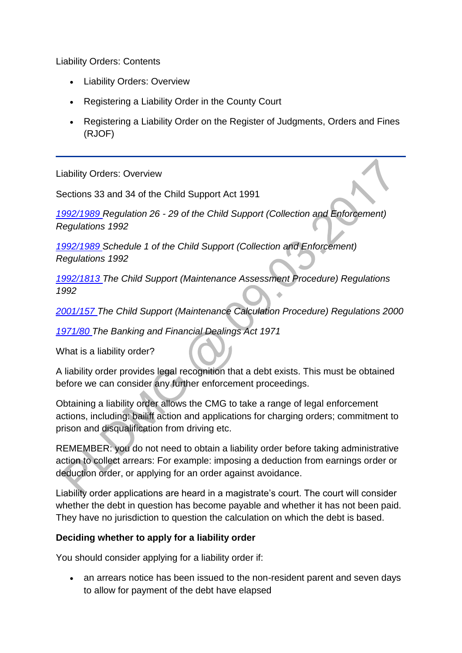Liability Orders: Contents

- Liability Orders: Overview
- Registering a Liability Order in the County Court
- Registering a Liability Order on the Register of Judgments, Orders and Fines (RJOF)

Liability Orders: Overview

Sections 33 and 34 of the Child Support Act 1991

*[1992/1989 R](http://www.legislation.gov.uk/uksi/1992/1989)egulation 26 - 29 of the Child Support (Collection and Enforcement) Regulations 1992*

*[1992/1989 S](http://www.legislation.gov.uk/uksi/1992/1989)chedule 1 of the Child Support (Collection and Enforcement) Regulations 1992*

*[1992/1813 T](http://www.legislation.gov.uk/uksi/1992/1813)he Child Support (Maintenance Assessment Procedure) Regulations 1992*

*[2001/157 T](http://www.legislation.gov.uk/uksi/2001/157)he Child Support (Maintenance Calculation Procedure) Regulations 2000*

*[1971/80 T](http://www.legislation.gov.uk/ukpga/1971/80/contents)he Banking and Financial Dealings Act 1971*

What is a liability order?

A liability order provides legal recognition that a debt exists. This must be obtained before we can consider any further enforcement proceedings.

Obtaining a liability order allows the CMG to take a range of legal enforcement actions, including: bailiff action and applications for charging orders; commitment to prison and disqualification from driving etc.

REMEMBER: you do not need to obtain a liability order before taking administrative action to collect arrears: For example: imposing a deduction from earnings order or deduction order, or applying for an order against avoidance.

Liability order applications are heard in a magistrate's court. The court will consider whether the debt in question has become payable and whether it has not been paid. They have no jurisdiction to question the calculation on which the debt is based.

### **Deciding whether to apply for a liability order**

You should consider applying for a liability order if:

• an arrears notice has been issued to the non-resident parent and seven days to allow for payment of the debt have elapsed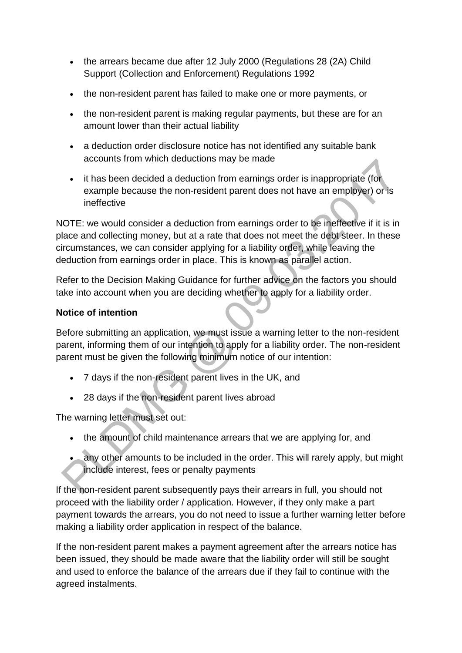- the arrears became due after 12 July 2000 (Regulations 28 (2A) Child Support (Collection and Enforcement) Regulations 1992
- the non-resident parent has failed to make one or more payments, or
- the non-resident parent is making regular payments, but these are for an amount lower than their actual liability
- a deduction order disclosure notice has not identified any suitable bank accounts from which deductions may be made
- it has been decided a deduction from earnings order is inappropriate (for example because the non-resident parent does not have an employer) or is ineffective

NOTE: we would consider a deduction from earnings order to be ineffective if it is in place and collecting money, but at a rate that does not meet the debt steer. In these circumstances, we can consider applying for a liability order, while leaving the deduction from earnings order in place. This is known as parallel action.

Refer to the Decision Making Guidance for further advice on the factors you should take into account when you are deciding whether to apply for a liability order.

### **Notice of intention**

Before submitting an application, we must issue a warning letter to the non-resident parent, informing them of our intention to apply for a liability order. The non-resident parent must be given the following minimum notice of our intention:

- 7 days if the non-resident parent lives in the UK, and
- 28 days if the non-resident parent lives abroad

The warning letter must set out:

- the amount of child maintenance arrears that we are applying for, and
- any other amounts to be included in the order. This will rarely apply, but might include interest, fees or penalty payments

If the non-resident parent subsequently pays their arrears in full, you should not proceed with the liability order / application. However, if they only make a part payment towards the arrears, you do not need to issue a further warning letter before making a liability order application in respect of the balance.

If the non-resident parent makes a payment agreement after the arrears notice has been issued, they should be made aware that the liability order will still be sought and used to enforce the balance of the arrears due if they fail to continue with the agreed instalments.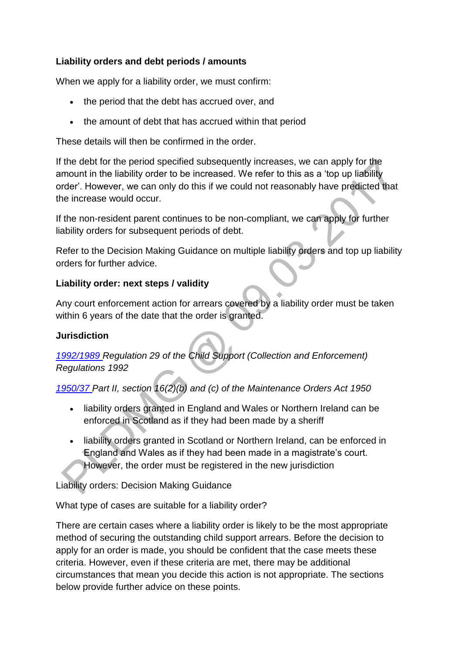### **Liability orders and debt periods / amounts**

When we apply for a liability order, we must confirm:

- the period that the debt has accrued over, and
- the amount of debt that has accrued within that period

These details will then be confirmed in the order.

If the debt for the period specified subsequently increases, we can apply for the amount in the liability order to be increased. We refer to this as a 'top up liability order'. However, we can only do this if we could not reasonably have predicted that the increase would occur.

If the non-resident parent continues to be non-compliant, we can apply for further liability orders for subsequent periods of debt.

Refer to the Decision Making Guidance on multiple liability orders and top up liability orders for further advice.

### **Liability order: next steps / validity**

Any court enforcement action for arrears covered by a liability order must be taken within 6 years of the date that the order is granted.

### **Jurisdiction**

*[1992/1989 R](http://www.legislation.gov.uk/uksi/1992/1989)egulation 29 of the Child Support (Collection and Enforcement) Regulations 1992*

*[1950/37 P](http://www.legislation.gov.uk/ukpga/Geo6/14/37/contents)art II, section 16(2)(b) and (c) of the Maintenance Orders Act 1950*

- liability orders granted in England and Wales or Northern Ireland can be enforced in Scotland as if they had been made by a sheriff
- liability orders granted in Scotland or Northern Ireland, can be enforced in England and Wales as if they had been made in a magistrate's court. However, the order must be registered in the new jurisdiction

Liability orders: Decision Making Guidance

What type of cases are suitable for a liability order?

There are certain cases where a liability order is likely to be the most appropriate method of securing the outstanding child support arrears. Before the decision to apply for an order is made, you should be confident that the case meets these criteria. However, even if these criteria are met, there may be additional circumstances that mean you decide this action is not appropriate. The sections below provide further advice on these points.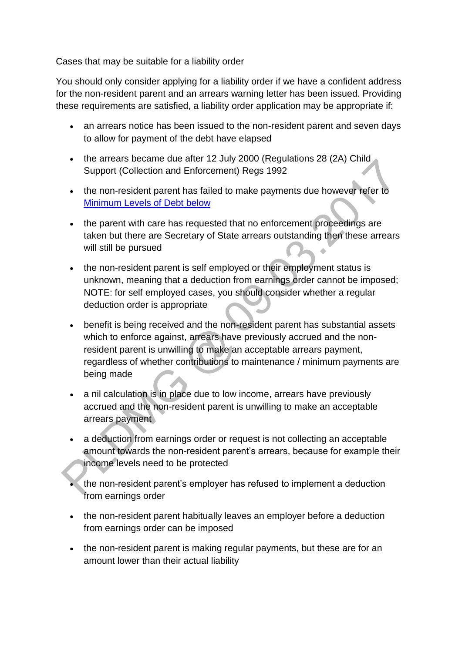Cases that may be suitable for a liability order

You should only consider applying for a liability order if we have a confident address for the non-resident parent and an arrears warning letter has been issued. Providing these requirements are satisfied, a liability order application may be appropriate if:

- an arrears notice has been issued to the non-resident parent and seven days to allow for payment of the debt have elapsed
- the arrears became due after 12 July 2000 (Regulations 28 (2A) Child Support (Collection and Enforcement) Regs 1992
- the non-resident parent has failed to make payments due however refer to [Minimum Levels of Debt](http://np-cmg-sharepoint.link2.gpn.gov.uk/sites/policy-law-and-decision-making-guidance/Pages/Legal%20Enforcement%20-%20England%20and%20Wales/Liability-Orders.aspx#Debt) below
- the parent with care has requested that no enforcement proceedings are taken but there are Secretary of State arrears outstanding then these arrears will still be pursued
- the non-resident parent is self employed or their employment status is unknown, meaning that a deduction from earnings order cannot be imposed; NOTE: for self employed cases, you should consider whether a regular deduction order is appropriate
- benefit is being received and the non-resident parent has substantial assets which to enforce against, arrears have previously accrued and the nonresident parent is unwilling to make an acceptable arrears payment, regardless of whether contributions to maintenance / minimum payments are being made
- a nil calculation is in place due to low income, arrears have previously accrued and the non-resident parent is unwilling to make an acceptable arrears payment
- a deduction from earnings order or request is not collecting an acceptable amount towards the non-resident parent's arrears, because for example their income levels need to be protected
- the non-resident parent's employer has refused to implement a deduction from earnings order
- the non-resident parent habitually leaves an employer before a deduction from earnings order can be imposed
- the non-resident parent is making regular payments, but these are for an amount lower than their actual liability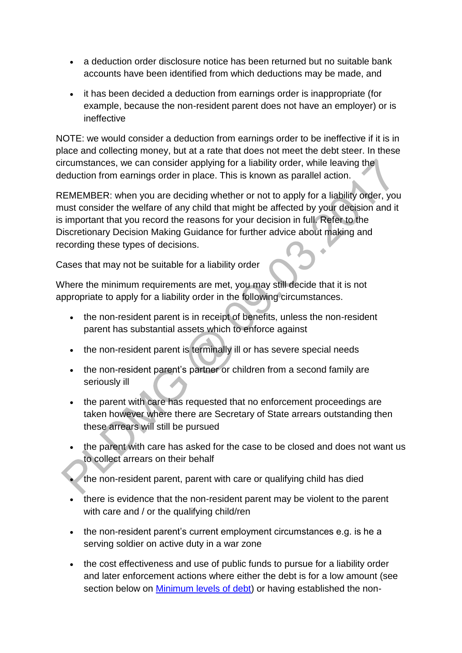- a deduction order disclosure notice has been returned but no suitable bank accounts have been identified from which deductions may be made, and
- it has been decided a deduction from earnings order is inappropriate (for example, because the non-resident parent does not have an employer) or is ineffective

NOTE: we would consider a deduction from earnings order to be ineffective if it is in place and collecting money, but at a rate that does not meet the debt steer. In these circumstances, we can consider applying for a liability order, while leaving the deduction from earnings order in place. This is known as parallel action.

REMEMBER: when you are deciding whether or not to apply for a liability order, you must consider the welfare of any child that might be affected by your decision and it is important that you record the reasons for your decision in full. Refer to the Discretionary Decision Making Guidance for further advice about making and recording these types of decisions.

Cases that may not be suitable for a liability order

Where the minimum requirements are met, you may still decide that it is not appropriate to apply for a liability order in the following circumstances.

- the non-resident parent is in receipt of benefits, unless the non-resident parent has substantial assets which to enforce against
- the non-resident parent is terminally ill or has severe special needs
- the non-resident parent's partner or children from a second family are seriously ill
- the parent with care has requested that no enforcement proceedings are taken however where there are Secretary of State arrears outstanding then these arrears will still be pursued
- the parent with care has asked for the case to be closed and does not want us to collect arrears on their behalf
- the non-resident parent, parent with care or qualifying child has died
- there is evidence that the non-resident parent may be violent to the parent with care and / or the qualifying child/ren
- the non-resident parent's current employment circumstances e.g. is he a serving soldier on active duty in a war zone
- the cost effectiveness and use of public funds to pursue for a liability order and later enforcement actions where either the debt is for a low amount (see section below on Minimum [levels of debt\)](http://np-cmg-sharepoint.link2.gpn.gov.uk/sites/policy-law-and-decision-making-guidance/Pages/Legal%20Enforcement%20-%20England%20and%20Wales/Liability-Orders.aspx#Debt) or having established the non-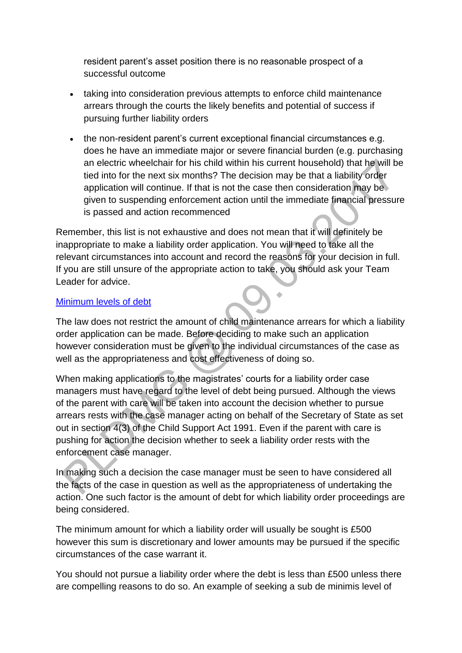resident parent's asset position there is no reasonable prospect of a successful outcome

- taking into consideration previous attempts to enforce child maintenance arrears through the courts the likely benefits and potential of success if pursuing further liability orders
- the non-resident parent's current exceptional financial circumstances e.g. does he have an immediate major or severe financial burden (e.g. purchasing an electric wheelchair for his child within his current household) that he will be tied into for the next six months? The decision may be that a liability order application will continue. If that is not the case then consideration may be given to suspending enforcement action until the immediate financial pressure is passed and action recommenced

Remember, this list is not exhaustive and does not mean that it will definitely be inappropriate to make a liability order application. You will need to take all the relevant circumstances into account and record the reasons for your decision in full. If you are still unsure of the appropriate action to take, you should ask your Team Leader for advice.

#### [Minimum levels of debt](http://np-cmg-sharepoint.link2.gpn.gov.uk/sites/policy-law-and-decision-making-guidance/Pages/Legal%20Enforcement%20-%20England%20and%20Wales)

The law does not restrict the amount of child maintenance arrears for which a liability order application can be made. Before deciding to make such an application however consideration must be given to the individual circumstances of the case as well as the appropriateness and cost effectiveness of doing so.

When making applications to the magistrates' courts for a liability order case managers must have regard to the level of debt being pursued. Although the views of the parent with care will be taken into account the decision whether to pursue arrears rests with the case manager acting on behalf of the Secretary of State as set out in section 4(3) of the Child Support Act 1991. Even if the parent with care is pushing for action the decision whether to seek a liability order rests with the enforcement case manager.

In making such a decision the case manager must be seen to have considered all the facts of the case in question as well as the appropriateness of undertaking the action. One such factor is the amount of debt for which liability order proceedings are being considered.

The minimum amount for which a liability order will usually be sought is £500 however this sum is discretionary and lower amounts may be pursued if the specific circumstances of the case warrant it.

You should not pursue a liability order where the debt is less than £500 unless there are compelling reasons to do so. An example of seeking a sub de minimis level of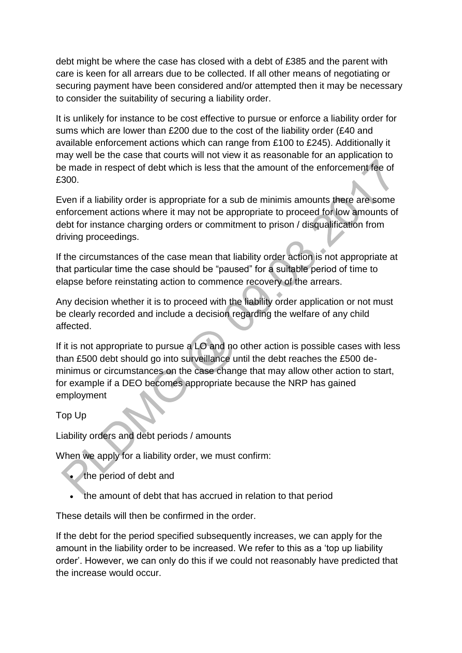debt might be where the case has closed with a debt of £385 and the parent with care is keen for all arrears due to be collected. If all other means of negotiating or securing payment have been considered and/or attempted then it may be necessary to consider the suitability of securing a liability order.

It is unlikely for instance to be cost effective to pursue or enforce a liability order for sums which are lower than £200 due to the cost of the liability order (£40 and available enforcement actions which can range from £100 to £245). Additionally it may well be the case that courts will not view it as reasonable for an application to be made in respect of debt which is less that the amount of the enforcement fee of £300.

Even if a liability order is appropriate for a sub de minimis amounts there are some enforcement actions where it may not be appropriate to proceed for low amounts of debt for instance charging orders or commitment to prison / disqualification from driving proceedings.

If the circumstances of the case mean that liability order action is not appropriate at that particular time the case should be "paused" for a suitable period of time to elapse before reinstating action to commence recovery of the arrears.

Any decision whether it is to proceed with the liability order application or not must be clearly recorded and include a decision regarding the welfare of any child affected.

If it is not appropriate to pursue a LO and no other action is possible cases with less than £500 debt should go into surveillance until the debt reaches the £500 deminimus or circumstances on the case change that may allow other action to start, for example if a DEO becomes appropriate because the NRP has gained employment

Top Up

Liability orders and debt periods / amounts

When we apply for a liability order, we must confirm:

- the period of debt and
- the amount of debt that has accrued in relation to that period

These details will then be confirmed in the order.

If the debt for the period specified subsequently increases, we can apply for the amount in the liability order to be increased. We refer to this as a 'top up liability order'. However, we can only do this if we could not reasonably have predicted that the increase would occur.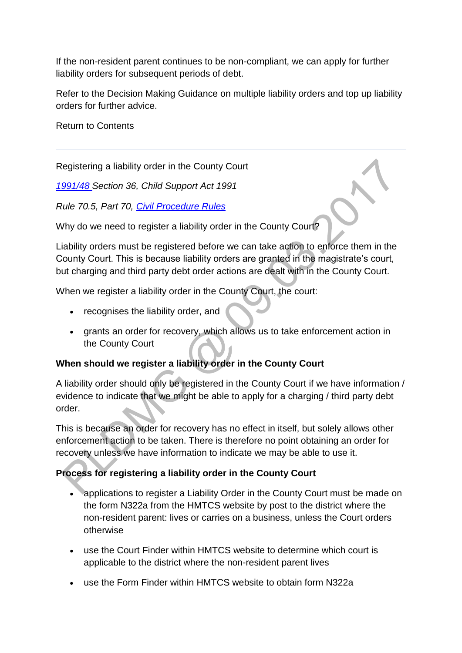If the non-resident parent continues to be non-compliant, we can apply for further liability orders for subsequent periods of debt.

Refer to the Decision Making Guidance on multiple liability orders and top up liability orders for further advice.

Return to Contents

Registering a liability order in the County Court

*[1991/48 S](http://www.legislation.gov.uk/ukpga/1991/48)ection 36, Child Support Act 1991*

*Rule 70.5, Part 70, [Civil Procedure Rules](https://www.justice.gov.uk/courts/procedure-rules/civil/rules)* 

Why do we need to register a liability order in the County Court?

Liability orders must be registered before we can take action to enforce them in the County Court. This is because liability orders are granted in the magistrate's court, but charging and third party debt order actions are dealt with in the County Court.

When we register a liability order in the County Court, the court:

- recognises the liability order, and
- grants an order for recovery, which allows us to take enforcement action in the County Court

# **When should we register a liability order in the County Court**

A liability order should only be registered in the County Court if we have information / evidence to indicate that we might be able to apply for a charging / third party debt order.

This is because an order for recovery has no effect in itself, but solely allows other enforcement action to be taken. There is therefore no point obtaining an order for recovery unless we have information to indicate we may be able to use it.

# **Process for registering a liability order in the County Court**

- applications to register a Liability Order in the County Court must be made on the form N322a from the HMTCS website by post to the district where the non-resident parent: lives or carries on a business, unless the Court orders otherwise
- use the Court Finder within HMTCS website to determine which court is applicable to the district where the non-resident parent lives
- use the Form Finder within HMTCS website to obtain form N322a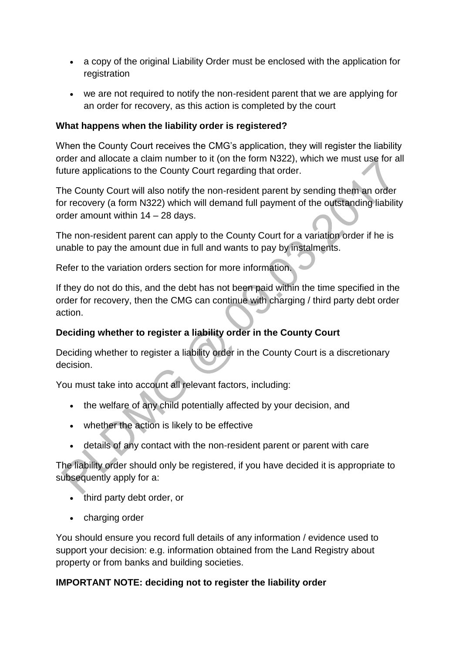- a copy of the original Liability Order must be enclosed with the application for registration
- we are not required to notify the non-resident parent that we are applying for an order for recovery, as this action is completed by the court

### **What happens when the liability order is registered?**

When the County Court receives the CMG's application, they will register the liability order and allocate a claim number to it (on the form N322), which we must use for all future applications to the County Court regarding that order.

The County Court will also notify the non-resident parent by sending them an order for recovery (a form N322) which will demand full payment of the outstanding liability order amount within 14 – 28 days.

The non-resident parent can apply to the County Court for a variation order if he is unable to pay the amount due in full and wants to pay by instalments.

Refer to the variation orders section for more information.

If they do not do this, and the debt has not been paid within the time specified in the order for recovery, then the CMG can continue with charging / third party debt order action.

## **Deciding whether to register a liability order in the County Court**

Deciding whether to register a liability order in the County Court is a discretionary decision.

You must take into account all relevant factors, including:

- the welfare of any child potentially affected by your decision, and
- whether the action is likely to be effective
- details of any contact with the non-resident parent or parent with care

The liability order should only be registered, if you have decided it is appropriate to subsequently apply for a:

- third party debt order, or
- charging order

You should ensure you record full details of any information / evidence used to support your decision: e.g. information obtained from the Land Registry about property or from banks and building societies.

### **IMPORTANT NOTE: deciding not to register the liability order**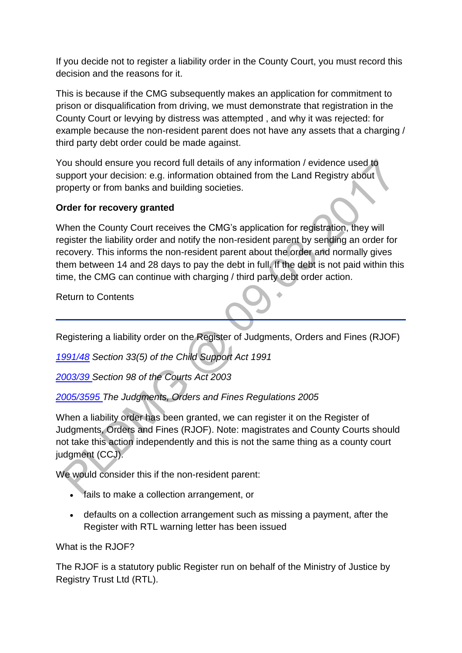If you decide not to register a liability order in the County Court, you must record this decision and the reasons for it.

This is because if the CMG subsequently makes an application for commitment to prison or disqualification from driving, we must demonstrate that registration in the County Court or levying by distress was attempted , and why it was rejected: for example because the non-resident parent does not have any assets that a charging / third party debt order could be made against.

You should ensure you record full details of any information / evidence used to support your decision: e.g. information obtained from the Land Registry about property or from banks and building societies.

### **Order for recovery granted**

When the County Court receives the CMG's application for registration, they will register the liability order and notify the non-resident parent by sending an order for recovery. This informs the non-resident parent about the order and normally gives them between 14 and 28 days to pay the debt in full. If the debt is not paid within this time, the CMG can continue with charging / third party debt order action.

Return to Contents

Registering a liability order on the Register of Judgments, Orders and Fines (RJOF)

*[1991/48](http://www.legislation.gov.uk/ukpga/1991/48) Section 33(5) of the Child Support Act 1991*

*[2003/39 S](http://www.legislation.gov.uk/ukpga/2003/39/contents)ection 98 of the Courts Act 2003*

*[2005/3595 T](http://www.legislation.gov.uk/uksi/2005/3595/contents/made)he Judgments, Orders and Fines Regulations 2005*

When a liability order has been granted, we can register it on the Register of Judgments, Orders and Fines (RJOF). Note: magistrates and County Courts should not take this action independently and this is not the same thing as a county court judgment (CCJ).

We would consider this if the non-resident parent:

- fails to make a collection arrangement, or
- defaults on a collection arrangement such as missing a payment, after the Register with RTL warning letter has been issued

What is the RJOF?

The RJOF is a statutory public Register run on behalf of the Ministry of Justice by Registry Trust Ltd (RTL).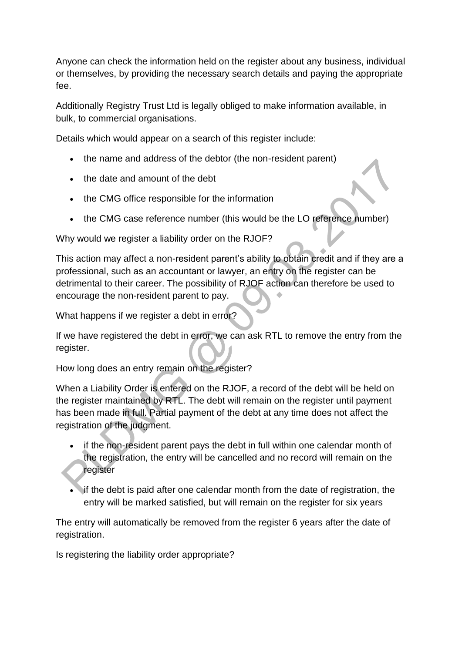Anyone can check the information held on the register about any business, individual or themselves, by providing the necessary search details and paying the appropriate fee.

Additionally Registry Trust Ltd is legally obliged to make information available, in bulk, to commercial organisations.

Details which would appear on a search of this register include:

- the name and address of the debtor (the non-resident parent)
- the date and amount of the debt
- the CMG office responsible for the information
- the CMG case reference number (this would be the LO reference number)

Why would we register a liability order on the RJOF?

This action may affect a non-resident parent's ability to obtain credit and if they are a professional, such as an accountant or lawyer, an entry on the register can be detrimental to their career. The possibility of RJOF action can therefore be used to encourage the non-resident parent to pay.

What happens if we register a debt in error?

If we have registered the debt in error, we can ask RTL to remove the entry from the register.

How long does an entry remain on the register?

When a Liability Order is entered on the RJOF, a record of the debt will be held on the register maintained by RTL. The debt will remain on the register until payment has been made in full. Partial payment of the debt at any time does not affect the registration of the judgment.

- if the non-resident parent pays the debt in full within one calendar month of the registration, the entry will be cancelled and no record will remain on the register
- if the debt is paid after one calendar month from the date of registration, the entry will be marked satisfied, but will remain on the register for six years

The entry will automatically be removed from the register 6 years after the date of registration.

Is registering the liability order appropriate?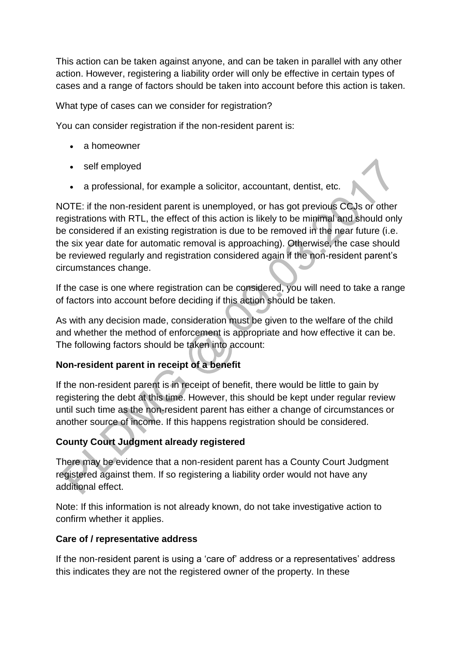This action can be taken against anyone, and can be taken in parallel with any other action. However, registering a liability order will only be effective in certain types of cases and a range of factors should be taken into account before this action is taken.

What type of cases can we consider for registration?

You can consider registration if the non-resident parent is:

- a homeowner
- self employed
- a professional, for example a solicitor, accountant, dentist, etc.

NOTE: if the non-resident parent is unemployed, or has got previous CCJs or other registrations with RTL, the effect of this action is likely to be minimal and should only be considered if an existing registration is due to be removed in the near future (i.e. the six year date for automatic removal is approaching). Otherwise, the case should be reviewed regularly and registration considered again if the non-resident parent's circumstances change.

If the case is one where registration can be considered, you will need to take a range of factors into account before deciding if this action should be taken.

As with any decision made, consideration must be given to the welfare of the child and whether the method of enforcement is appropriate and how effective it can be. The following factors should be taken into account:

## **Non-resident parent in receipt of a benefit**

If the non-resident parent is in receipt of benefit, there would be little to gain by registering the debt at this time. However, this should be kept under regular review until such time as the non-resident parent has either a change of circumstances or another source of income. If this happens registration should be considered.

## **County Court Judgment already registered**

There may be evidence that a non-resident parent has a County Court Judgment registered against them. If so registering a liability order would not have any additional effect.

Note: If this information is not already known, do not take investigative action to confirm whether it applies.

### **Care of / representative address**

If the non-resident parent is using a 'care of' address or a representatives' address this indicates they are not the registered owner of the property. In these